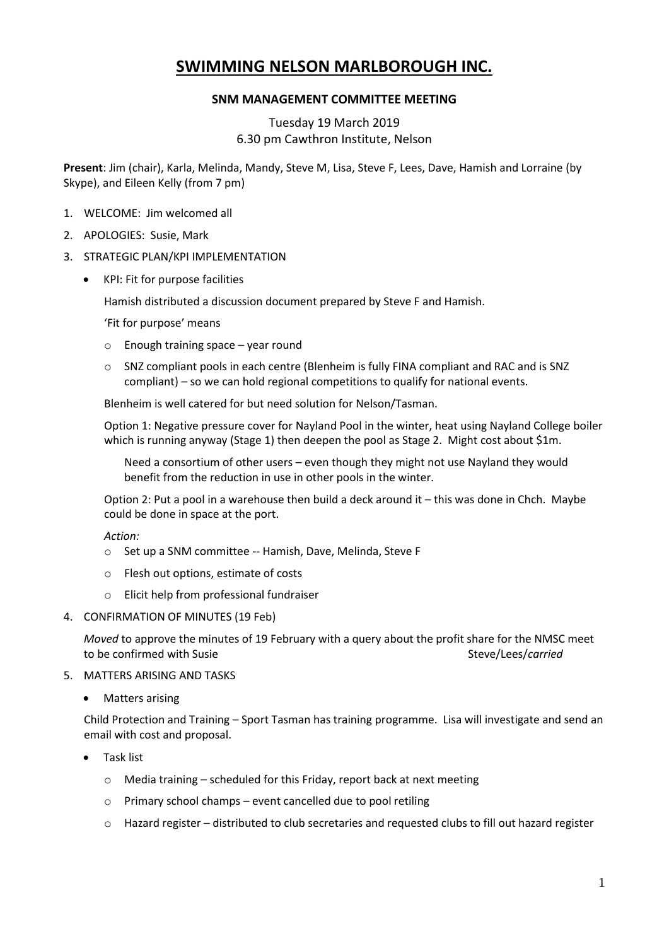# **SWIMMING NELSON MARLBOROUGH INC.**

### **SNM MANAGEMENT COMMITTEE MEETING**

## Tuesday 19 March 2019 6.30 pm Cawthron Institute, Nelson

**Present**: Jim (chair), Karla, Melinda, Mandy, Steve M, Lisa, Steve F, Lees, Dave, Hamish and Lorraine (by Skype), and Eileen Kelly (from 7 pm)

- 1. WELCOME: Jim welcomed all
- 2. APOLOGIES: Susie, Mark
- 3. STRATEGIC PLAN/KPI IMPLEMENTATION
	- KPI: Fit for purpose facilities

Hamish distributed a discussion document prepared by Steve F and Hamish.

'Fit for purpose' means

- o Enough training space year round
- $\circ$  SNZ compliant pools in each centre (Blenheim is fully FINA compliant and RAC and is SNZ compliant) – so we can hold regional competitions to qualify for national events.

Blenheim is well catered for but need solution for Nelson/Tasman.

Option 1: Negative pressure cover for Nayland Pool in the winter, heat using Nayland College boiler which is running anyway (Stage 1) then deepen the pool as Stage 2. Might cost about \$1m.

Need a consortium of other users – even though they might not use Nayland they would benefit from the reduction in use in other pools in the winter.

Option 2: Put a pool in a warehouse then build a deck around it – this was done in Chch. Maybe could be done in space at the port.

*Action:* 

- o Set up a SNM committee -- Hamish, Dave, Melinda, Steve F
- o Flesh out options, estimate of costs
- o Elicit help from professional fundraiser
- 4. CONFIRMATION OF MINUTES (19 Feb)

*Moved* to approve the minutes of 19 February with a query about the profit share for the NMSC meet to be confirmed with Susie Steve/Lees/*carried* Steve/Lees/*carried* 

- 5. MATTERS ARISING AND TASKS
	- Matters arising

Child Protection and Training – Sport Tasman has training programme. Lisa will investigate and send an email with cost and proposal.

- Task list
	- o Media training scheduled for this Friday, report back at next meeting
	- o Primary school champs event cancelled due to pool retiling
	- $\circ$  Hazard register distributed to club secretaries and requested clubs to fill out hazard register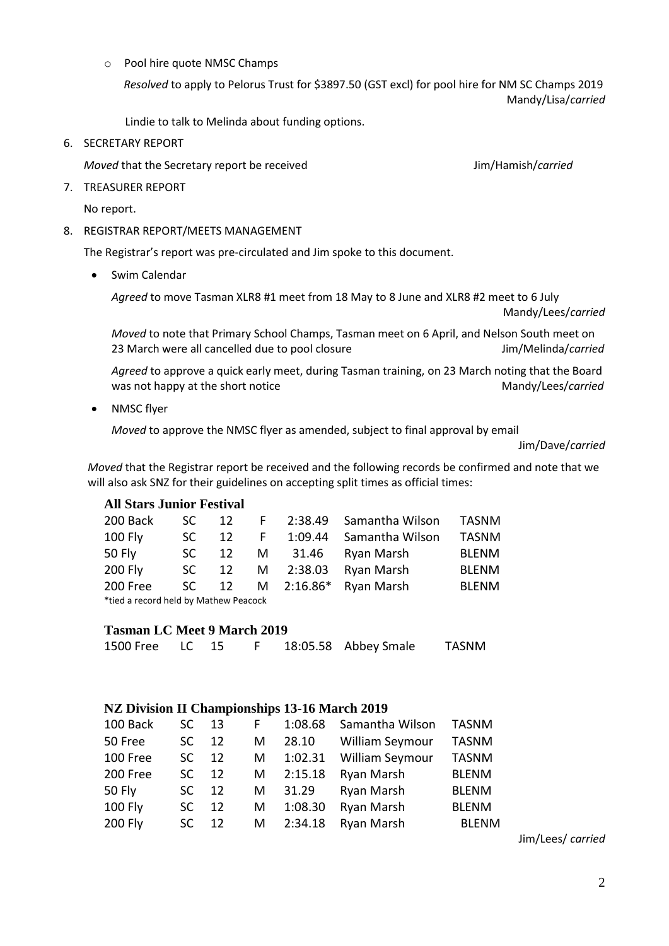o Pool hire quote NMSC Champs

 *Resolved* to apply to Pelorus Trust for \$3897.50 (GST excl) for pool hire for NM SC Champs 2019 Mandy/Lisa/*carried*

Lindie to talk to Melinda about funding options.

6. SECRETARY REPORT

*Moved* that the Secretary report be received **Accord Accord Secretary** Jim/Hamish/*carried* 

7. TREASURER REPORT

No report.

8. REGISTRAR REPORT/MEETS MANAGEMENT

The Registrar's report was pre-circulated and Jim spoke to this document.

Swim Calendar

*Agreed* to move Tasman XLR8 #1 meet from 18 May to 8 June and XLR8 #2 meet to 6 July Mandy/Lees/*carried*

*Moved* to note that Primary School Champs, Tasman meet on 6 April, and Nelson South meet on 23 March were all cancelled due to pool closure Jim/Melinda/*carried*

*Agreed* to approve a quick early meet, during Tasman training, on 23 March noting that the Board was not happy at the short notice Mandy/Lees/*carried* Mandy/Lees/*carried* 

• NMSC flyer

*Moved* to approve the NMSC flyer as amended, subject to final approval by email

Jim/Dave/*carried*

*Moved* that the Registrar report be received and the following records be confirmed and note that we will also ask SNZ for their guidelines on accepting split times as official times:

#### **All Stars Junior Festival**

| 200 Back                              | SC. |    |  | 12 F 2:38.49 Samantha Wilson TASNM |              |
|---------------------------------------|-----|----|--|------------------------------------|--------------|
| <b>100 Fly</b>                        | SC. | 12 |  | F 1:09.44 Samantha Wilson          | <b>TASNM</b> |
| <b>50 Fly</b>                         | SC. | 12 |  | M 31.46 Ryan Marsh                 | <b>BLENM</b> |
| <b>200 Fly</b>                        |     |    |  | SC 12 M 2:38.03 Ryan Marsh         | <b>BLENM</b> |
| 200 Free                              |     |    |  | SC 12 M 2:16.86* Ryan Marsh        | <b>BLENM</b> |
| *tied a record held by Mathew Peacock |     |    |  |                                    |              |

#### **Tasman LC Meet 9 March 2019**

1500 Free LC 15 F 18:05.58 Abbey Smale TASNM

#### **NZ Division II Championships 13-16 March 2019**

| 100 Back       | SC. | 13 | F. | 1:08.68 | Samantha Wilson        | <b>TASNM</b> |
|----------------|-----|----|----|---------|------------------------|--------------|
| 50 Free        | SC. | 12 | M  | 28.10   | <b>William Seymour</b> | <b>TASNM</b> |
| 100 Free       | SC. | 12 | M  | 1:02.31 | William Seymour        | <b>TASNM</b> |
| 200 Free       | SC. | 12 | M  | 2:15.18 | Ryan Marsh             | <b>BLENM</b> |
| <b>50 Fly</b>  | SC. | 12 | M  | 31.29   | Ryan Marsh             | <b>BLENM</b> |
| 100 Fly        | SC. | 12 | M  | 1:08.30 | Ryan Marsh             | <b>BLENM</b> |
| <b>200 Fly</b> | SC. | 12 | M  | 2:34.18 | Ryan Marsh             | <b>BLENM</b> |

Jim/Lees/ *carried*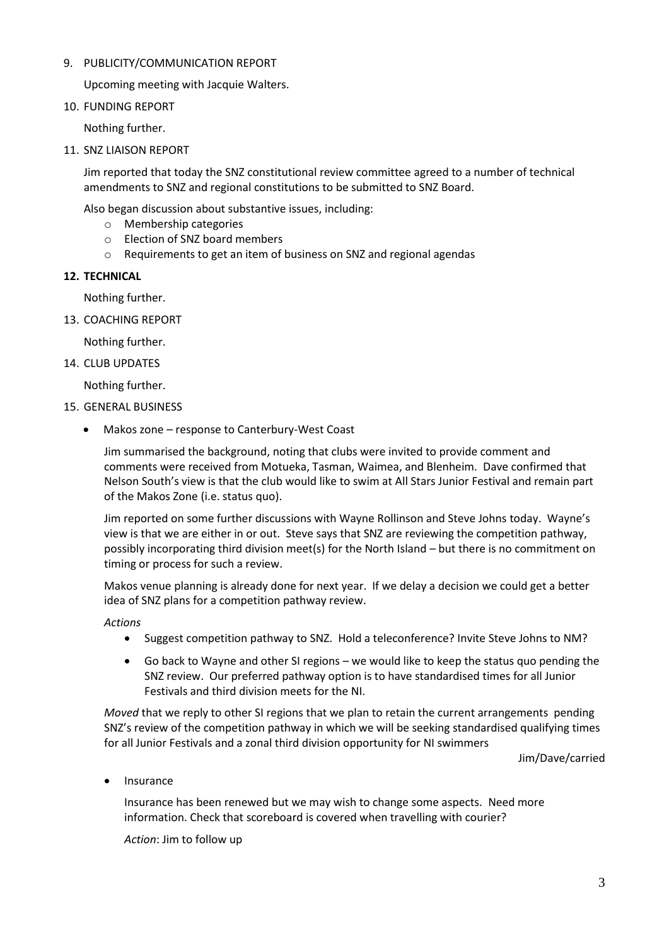#### 9. PUBLICITY/COMMUNICATION REPORT

Upcoming meeting with Jacquie Walters.

10. FUNDING REPORT

Nothing further.

11. SNZ LIAISON REPORT

Jim reported that today the SNZ constitutional review committee agreed to a number of technical amendments to SNZ and regional constitutions to be submitted to SNZ Board.

Also began discussion about substantive issues, including:

- o Membership categories
- o Election of SNZ board members
- o Requirements to get an item of business on SNZ and regional agendas

#### **12. TECHNICAL**

Nothing further.

13. COACHING REPORT

Nothing further.

14. CLUB UPDATES

Nothing further.

- 15. GENERAL BUSINESS
	- Makos zone response to Canterbury-West Coast

Jim summarised the background, noting that clubs were invited to provide comment and comments were received from Motueka, Tasman, Waimea, and Blenheim. Dave confirmed that Nelson South's view is that the club would like to swim at All Stars Junior Festival and remain part of the Makos Zone (i.e. status quo).

Jim reported on some further discussions with Wayne Rollinson and Steve Johns today. Wayne's view is that we are either in or out. Steve says that SNZ are reviewing the competition pathway, possibly incorporating third division meet(s) for the North Island – but there is no commitment on timing or process for such a review.

Makos venue planning is already done for next year. If we delay a decision we could get a better idea of SNZ plans for a competition pathway review.

*Actions*

- Suggest competition pathway to SNZ. Hold a teleconference? Invite Steve Johns to NM?
- Go back to Wayne and other SI regions we would like to keep the status quo pending the SNZ review. Our preferred pathway option is to have standardised times for all Junior Festivals and third division meets for the NI.

*Moved* that we reply to other SI regions that we plan to retain the current arrangements pending SNZ's review of the competition pathway in which we will be seeking standardised qualifying times for all Junior Festivals and a zonal third division opportunity for NI swimmers

Jim/Dave/carried

Insurance

Insurance has been renewed but we may wish to change some aspects. Need more information. Check that scoreboard is covered when travelling with courier?

*Action*: Jim to follow up